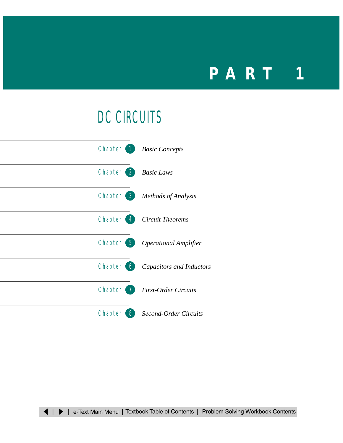# **PART 1**

## DC CIRCUITS

<span id="page-0-0"></span>

1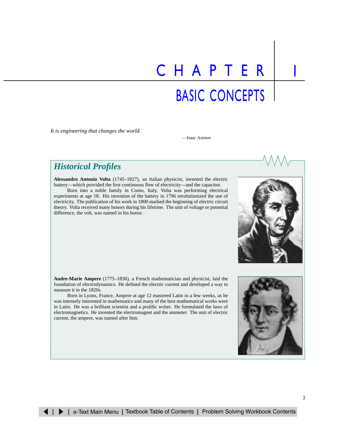## [CHAPTER](#page-0-0) BASIC [CONCEPTS](#page-0-0) 1

<span id="page-1-0"></span>*It is engineering that changes the world.*

—Isaac Asimov

## *Historical Profiles*

**Alessandro Antonio Volta** (1745–1827), an Italian physicist, invented the electric battery—which provided the first continuous flow of electricity—and the capacitor.

Born into a noble family in Como, Italy, Volta was performing electrical experiments at age 18. His invention of the battery in 1796 revolutionized the use of electricity. The publication of his work in 1800 marked the beginning of electric circuit theory. Volta received many honors during his lifetime. The unit of voltage or potential difference, the volt, was named in his honor.

**Andre-Marie Ampere** (1775–1836), a French mathematician and physicist, laid the foundation of electrodynamics. He defined the electric current and developed a way to measure it in the 1820s.

Born in Lyons, France, Ampere at age 12 mastered Latin in a few weeks, as he was intensely interested in mathematics and many of the best mathematical works were in Latin. He was a brilliant scientist and a prolific writer. He formulated the laws of electromagnetics. He invented the electromagnet and the ammeter. The unit of electric current, the ampere, was named after him.





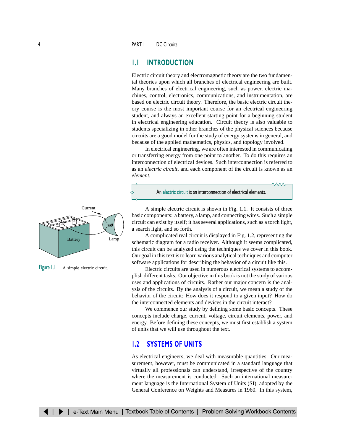## <span id="page-2-0"></span>**1.1 INTRODUCTION**

Electric circuit theory and electromagnetic theory are the two fundamental theories upon which all branches of electrical engineering are built. Many branches of electrical engineering, such as power, electric machines, control, electronics, communications, and instrumentation, are based on electric circuit theory. Therefore, the basic electric circuit theory course is the most important course for an electrical engineering student, and always an excellent starting point for a beginning student in electrical engineering education. Circuit theory is also valuable to students specializing in other branches of the physical sciences because circuits are a good model for the study of energy systems in general, and because of the applied mathematics, physics, and topology involved.

In electrical engineering, we are often interested in communicating or transferring energy from one point to another. To do this requires an interconnection of electrical devices. Such interconnection is referred to as an *electric circuit*, and each component of the circuit is known as an *element.*

 $\Lambda\Lambda\Lambda\Lambda$ 





Figure  $| \cdot |$  A simple electric circuit.

A simple electric circuit is shown in Fig. 1.1. It consists of three basic components: a battery, a lamp, and connecting wires. Such a simple circuit can exist by itself; it has several applications, such as a torch light, a search light, and so forth.

A complicated real circuit is displayed in Fig. 1.2, representing the schematic diagram for a radio receiver. Although it seems complicated, this circuit can be analyzed using the techniques we cover in this book. Our goal in this text is to learn various analytical techniques and computer software applications for describing the behavior of a circuit like this.

Electric circuits are used in numerous electrical systems to accomplish different tasks. Our objective in this book is not the study of various uses and applications of circuits. Rather our major concern is the analysis of the circuits. By the analysis of a circuit, we mean a study of the behavior of the circuit: How does it respond to a given input? How do the interconnected elements and devices in the circuit interact?

We commence our study by defining some basic concepts. These concepts include charge, current, voltage, circuit elements, power, and energy. Before defining these concepts, we must first establish a system of units that we will use throughout the text.

## **1.2 [SYSTEMS](#page-0-0) OF UNITS**

As electrical engineers, we deal with measurable quantities. Our measurement, however, must be communicated in a standard language that virtually all professionals can understand, irrespective of the country where the measurement is conducted. Such an international measurement language is the International System of Units (SI), adopted by the General Conference on Weights and Measures in 1960. In this system,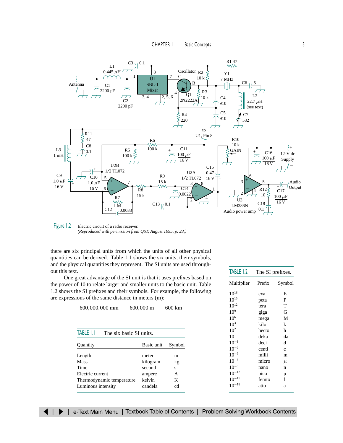

Figure 1.2 Electric circuit of a radio receiver. *(Reproduced with permission from QST, August 1995, p. 23.)*

there are six principal units from which the units of all other physical quantities can be derived. Table 1.1 shows the six units, their symbols, and the physical quantities they represent. The SI units are used throughout this text.

One great advantage of the SI unit is that it uses prefixes based on the power of 10 to relate larger and smaller units to the basic unit. Table 1.2 shows the SI prefixes and their symbols. For example, the following are expressions of the same distance in meters (m):

600*,*000*,*000 mm 600*,*000 m 600 km

| TABLE 1.1<br>The six basic SI units. |            |        |  |
|--------------------------------------|------------|--------|--|
| Quantity                             | Basic unit | Symbol |  |
| Length                               | meter      | m      |  |
| Mass                                 | kilogram   | kg     |  |
| Time                                 | second     | S      |  |
| Electric current                     | ampere     | A      |  |
| Thermodynamic temperature            | kelvin     | K      |  |
| Luminous intensity                   | candela    | cd     |  |

| <b>TABLE 1.2</b> | The SI prefixes. |        |  |  |
|------------------|------------------|--------|--|--|
| Multiplier       | Prefix           | Symbol |  |  |
| $10^{18}$        | exa              | Е      |  |  |
| $10^{15}$        | peta             | P      |  |  |
| $10^{12}$        | tera             | T      |  |  |
| $10^{9}$         | giga             | G      |  |  |
| 10 <sup>6</sup>  | mega             | М      |  |  |
| $10^3$           | kilo             | k      |  |  |
| 10 <sup>2</sup>  | hecto            | h      |  |  |
| 10               | deka             | da     |  |  |
| $10^{-1}$        | deci             | d      |  |  |
| $10^{-2}$        | centi            | Ċ      |  |  |
| $10^{-3}$        | milli            | m      |  |  |
| $10^{-6}$        | micro            | $\mu$  |  |  |
| $10^{-9}$        | nano             | n      |  |  |
| $10^{-12}$       | pico             | p      |  |  |
| $10^{-15}$       | femto            | f      |  |  |
| $10^{-18}$       | atto             | a      |  |  |
|                  |                  |        |  |  |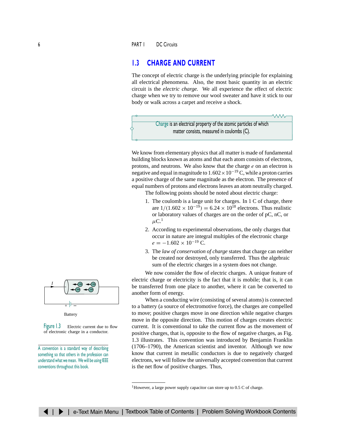## <span id="page-4-0"></span>**1.3 CHARGE AND [CURRENT](#page-0-0)**

The concept of electric charge is the underlying principle for explaining all electrical phenomena. Also, the most basic quantity in an electric circuit is the *electric charge.* We all experience the effect of electric charge when we try to remove our wool sweater and have it stick to our body or walk across a carpet and receive a shock.

Charge is an electrical property of the atomic particles of which matter consists, measured in coulombs (C).

We know from elementary physics that all matter is made of fundamental building blocks known as atoms and that each atom consists of electrons, protons, and neutrons. We also know that the charge *e* on an electron is negative and equal in magnitude to  $1.602 \times 10^{-19}$  C, while a proton carries a positive charge of the same magnitude as the electron. The presence of equal numbers of protons and electrons leaves an atom neutrally charged.

The following points should be noted about electric charge:

- 1. The coulomb is a large unit for charges. In 1 C of charge, there are  $1/(1.602 \times 10^{-19}) = 6.24 \times 10^{18}$  electrons. Thus realistic or laboratory values of charges are on the order of pC, nC, or  $\mu$ C.<sup>1</sup>
- 2. According to experimental observations, the only charges that occur in nature are integral multiples of the electronic charge  $e = -1.602 \times 10^{-19}$  C.
- 3. The *law of conservation of charge* states that charge can neither be created nor destroyed, only transferred. Thus the algebraic sum of the electric charges in a system does not change.

We now consider the flow of electric charges. A unique feature of electric charge or electricity is the fact that it is mobile; that is, it can be transferred from one place to another, where it can be converted to another form of energy.

When a conducting wire (consisting of several atoms) is connected to a battery (a source of electromotive force), the charges are compelled to move; positive charges move in one direction while negative charges move in the opposite direction. This motion of charges creates electric current. It is conventional to take the current flow as the movement of positive charges, that is, opposite to the flow of negative charges, as Fig. 1.3 illustrates. This convention was introduced by Benjamin Franklin (1706–1790), the American scientist and inventor. Although we now know that current in metallic conductors is due to negatively charged electrons, we will follow the universally accepted convention that current is the net flow of positive charges. Thus,





Figure 1.3 Electric current due to flow of electronic charge in a conductor.

A convention is a standard way of describing something so that others in the profession can understand what we mean. We will be using IEEE conventions throughout this book.

<sup>&</sup>lt;sup>1</sup>However, a large power supply capacitor can store up to  $0.5 \text{ C}$  of charge.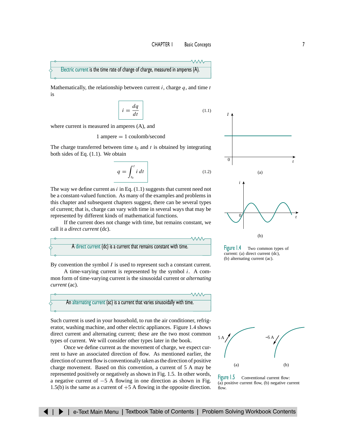

Mathematically, the relationship between current *i*, charge *q*, and time *t* is

$$
i = \frac{dq}{dt} \tag{1.1}
$$

where current is measured in amperes (A), and

1 ampere = 1 coulomb/second

The charge transferred between time  $t_0$  and  $t$  is obtained by integrating both sides of Eq. (1.1). We obtain

$$
q = \int_{t_0}^t i \, dt \tag{1.2}
$$

The way we define current as *i* in Eq. (1.1) suggests that current need not be a constant-valued function. As many of the examples and problems in this chapter and subsequent chapters suggest, there can be several types of current; that is, charge can vary with time in several ways that may be represented by different kinds of mathematical functions.

If the current does not change with time, but remains constant, we call it a *direct current* (dc).



By convention the symbol *I* is used to represent such a constant current.

A time-varying current is represented by the symbol *i*. A common form of time-varying current is the sinusoidal current or *alternating current* (ac).



Such current is used in your household, to run the air conditioner, refrigerator, washing machine, and other electric appliances. Figure 1.4 shows direct current and alternating current; these are the two most common types of current. We will consider other types later in the book.

Once we define current as the movement of charge, we expect current to have an associated direction of flow. As mentioned earlier, the direction of current flow is conventionally taken as the direction of positive charge movement. Based on this convention, a current of 5 A may be represented positively or negatively as shown in Fig. 1.5. In other words, a negative current of −5 A flowing in one direction as shown in Fig. 1.5(b) is the same as a current of  $+5$  A flowing in the opposite direction.







Figure 1.5 Conventional current flow: (a) positive current flow, (b) negative current flow.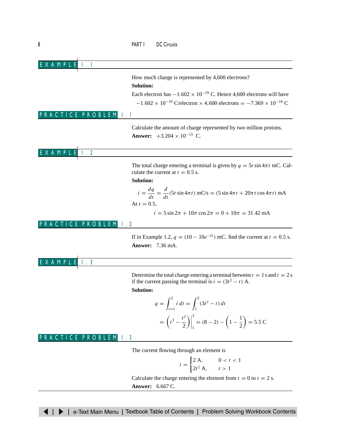EXAMP

How much charge is represented by 4,600 electrons?

## **Solution:**

Each electron has  $-1.602 \times 10^{-19}$  C. Hence 4,600 electrons will have  $-1.602 \times 10^{-19}$  C/electron × 4,600 electrons =  $-7.369 \times 10^{-16}$  C

PRACTICE PROBLEM 1.1

Calculate the amount of charge represented by two million protons. **Answer:**  $+3.204 \times 10^{-13}$  C.

| EXAMPLE 1.2          |                                                                                                                                      |
|----------------------|--------------------------------------------------------------------------------------------------------------------------------------|
|                      | The total charge entering a terminal is given by $q = 5t \sin 4\pi t$ mC. Cal-<br>culate the current at $t = 0.5$ s.                 |
|                      | <b>Solution:</b>                                                                                                                     |
|                      | $i = \frac{dq}{dt} = \frac{d}{dt}(5t \sin 4\pi t) \text{ mC/s} = (5 \sin 4\pi t + 20\pi t \cos 4\pi t) \text{ mA}$<br>At $t = 0.5$ , |
|                      | $i = 5 \sin 2\pi + 10\pi \cos 2\pi = 0 + 10\pi = 31.42 \text{ mA}$                                                                   |
| PRACTICE PROBLEM 1.2 |                                                                                                                                      |
|                      | If in Example 1.2, $q = (10 - 10e^{-2t})$ mC, find the current at $t = 0.5$ s.<br><b>Answer:</b> 7.36 mA.                            |
|                      |                                                                                                                                      |

Determine the total charge entering a terminal between  $t = 1$  s and  $t = 2$  s if the current passing the terminal is  $i = (3t^2 - t)$  A.

#### **Solution:**

$$
q = \int_{t=1}^{2} i \, dt = \int_{1}^{2} (3t^2 - t) \, dt
$$
\n
$$
= \left( t^3 - \frac{t^2}{2} \right) \Big|_{1}^{2} = (8 - 2) - \left( 1 - \frac{1}{2} \right) = 5.5 \, \text{C}
$$

#### PRACTICE PROBLEM 1.3

EXAMPLE 1.3

The current flowing through an element is

$$
i = \begin{cases} 2 \text{ A}, & 0 < t < 1 \\ 2t^2 \text{ A}, & t > 1 \end{cases}
$$

Calculate the charge entering the element from  $t = 0$  to  $t = 2$  s.

**Answer:** 6.667 C.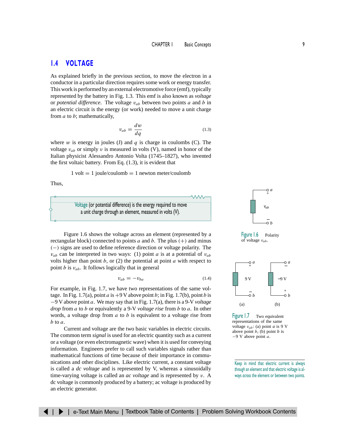## **1.4 [VOLTAGE](#page-2-0)**

As explained briefly in the previous section, to move the electron in a conductor in a particular direction requires some work or energy transfer. This work is performed by an external electromotive force (emf), typically represented by the battery in Fig. 1.3. This emf is also known as *voltage* or *potential difference*. The voltage *vab* between two points *a* and *b* in an electric circuit is the energy (or work) needed to move a unit charge from *a* to *b*; mathematically,

$$
v_{ab} = \frac{dw}{dq} \tag{1.3}
$$

where *w* is energy in joules (J) and  $q$  is charge in coulombs (C). The voltage  $v_{ab}$  or simply  $v$  is measured in volts (V), named in honor of the Italian physicist Alessandro Antonio Volta (1745–1827), who invented the first voltaic battery. From Eq. (1.3), it is evident that

 $1$  volt  $= 1$  joule/coulomb  $= 1$  newton meter/coulomb

Thus,

Voltage (or potential difference) is the energy required to move a unit charge through an element, measured in volts (V).

Figure 1.6 shows the voltage across an element (represented by a rectangular block) connected to points  $a$  and  $b$ . The plus  $(+)$  and minus *(*−*)* signs are used to define reference direction or voltage polarity. The  $v_{ab}$  can be interpreted in two ways: (1) point *a* is at a potential of  $v_{ab}$ volts higher than point  $b$ , or  $(2)$  the potential at point  $a$  with respect to point *b* is *vab*. It follows logically that in general

$$
v_{ab} = -v_{ba} \tag{1.4}
$$

For example, in Fig. 1.7, we have two representations of the same voltage. In Fig. 1.7(a), point  $a$  is  $+9$  V above point  $b$ ; in Fig. 1.7(b), point  $b$  is −9 V above point *a*. We may say that in Fig. 1.7(a), there is a 9-V *voltage drop* from *a* to *b* or equivalently a 9-V *voltage rise* from *b* to *a*. In other words, a voltage drop from *a* to *b* is equivalent to a voltage rise from  *to*  $*a*$ *.* 

Current and voltage are the two basic variables in electric circuits. The common term *signal* is used for an electric quantity such as a current or a voltage (or even electromagnetic wave) when it is used for conveying information. Engineers prefer to call such variables signals rather than mathematical functions of time because of their importance in communications and other disciplines. Like electric current, a constant voltage is called a *dc voltage* and is represented by V, whereas a sinusoidally time-varying voltage is called an *ac voltage* and is represented by *v*. A dc voltage is commonly produced by a battery; ac voltage is produced by an electric generator.



Figure 1.6 Polarity of voltage *vab*.



Figure 1.7 Two equivalent representations of the same voltage *vab*: (a) point *a* is 9 V above point *b*, (b) point *b* is −9 V above point *a*.

Keep in mind that electric current is always *through* an element and that electric voltage is always *across* the element or between two points.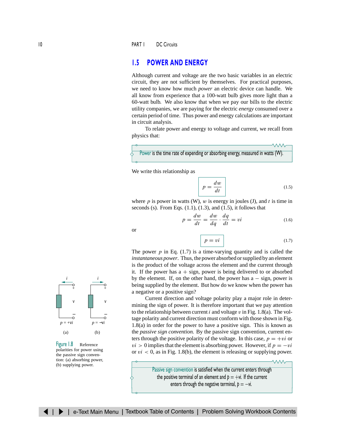## **1.5 POWER AND [ENERGY](#page-2-0)**

Although current and voltage are the two basic variables in an electric circuit, they are not sufficient by themselves. For practical purposes, we need to know how much *power* an electric device can handle. We all know from experience that a 100-watt bulb gives more light than a 60-watt bulb. We also know that when we pay our bills to the electric utility companies, we are paying for the electric *energy* consumed over a certain period of time. Thus power and energy calculations are important in circuit analysis.

To relate power and energy to voltage and current, we recall from physics that:

Power is the time rate of expending or absorbing energy, measured in watts (W).

We write this relationship as

$$
p = \frac{dw}{dt} \tag{1.5}
$$

VVVV

where  $p$  is power in watts (W),  $w$  is energy in joules (J), and  $t$  is time in seconds (s). From Eqs.  $(1.1)$ ,  $(1.3)$ , and  $(1.5)$ , it follows that

$$
p = \frac{dw}{dt} = \frac{dw}{dq} \cdot \frac{dq}{dt} = vi \tag{1.6}
$$

or

$$
p = vi \tag{1.7}
$$

The power  $p$  in Eq. (1.7) is a time-varying quantity and is called the *instantaneous power*. Thus, the power absorbed or supplied by an element is the product of the voltage across the element and the current through it. If the power has  $a + sign$ , power is being delivered to or absorbed by the element. If, on the other hand, the power has  $a - sign$ , power is being supplied by the element. But how do we know when the power has a negative or a positive sign?

Current direction and voltage polarity play a major role in determining the sign of power. It is therefore important that we pay attention to the relationship between current *i* and voltage *v* in Fig. 1.8(a). The voltage polarity and current direction must conform with those shown in Fig. 1.8(a) in order for the power to have a positive sign. This is known as the *passive sign convention.* By the passive sign convention, current enters through the positive polarity of the voltage. In this case,  $p = +vi$  or  $vi > 0$  implies that the element is absorbing power. However, if  $p = -vi$ or  $vi < 0$ , as in Fig. 1.8(b), the element is releasing or supplying power.

> Passive sign convention is satisfied when the current enters through the positive terminal of an element and  $p = +v$ *i*. If the current enters through the negative terminal,  $p = -\nu i$ .



Figure 1.8 Reference polarities for power using the passive sign convention: (a) absorbing power, (b) supplying power.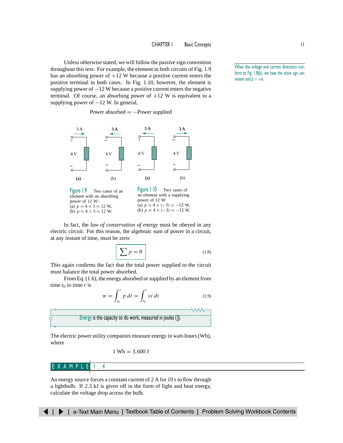Unless otherwise stated, we will follow the passive sign convention throughout this text. For example, the element in both circuits of Fig. 1.9 has an absorbing power of  $+12$  W because a positive current enters the positive terminal in both cases. In Fig. 1.10, however, the element is supplying power of  $-12$  W because a positive current enters the negative terminal. Of course, an absorbing power of  $+12$  W is equivalent to a supplying power of  $-12$  W. In general,

Power absorbed  $= -P$ ower supplied



In fact, the *law of conservation of energy* must be obeyed in any electric circuit. For this reason, the algebraic sum of power in a circuit, at any instant of time, must be zero:

$$
\sum p = 0 \tag{1.8}
$$

This again confirms the fact that the total power supplied to the circuit must balance the total power absorbed.

From Eq. (1.6), the energy absorbed or supplied by an element from time  $t_0$  to time  $t$  is

$$
w = \int_{t_0}^t p \, dt = \int_{t_0}^t vi \, dt \tag{1.9}
$$



Energy is the capacity to do work, measured in joules ( J).

The electric power utility companies measure energy in watt-hours (Wh), where

$$
1 \text{ Wh} = 3,600 \text{ J}
$$

 $X$   $A$   $M$   $P$   $L$   $E$   $I$   $I$   $I$   $I$ 

An energy source forces a constant current of 2 A for 10 s to flow through a lightbulb. If 2.3 kJ is given off in the form of light and heat energy, calculate the voltage drop across the bulb.

▲

When the voltage and current directions conform to Fig. 1.8(b), we have the *active sign convention* and  $p = +vi$ .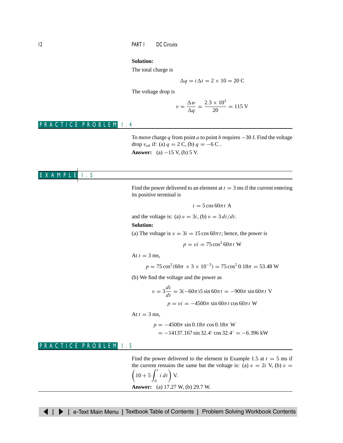12 PART 1 DC Circuits

#### **Solution:**

The total charge is

$$
\Delta q = i \Delta t = 2 \times 10 = 20 \,\mathrm{C}
$$

The voltage drop is

$$
v = \frac{\Delta w}{\Delta q} = \frac{2.3 \times 10^3}{20} = 115 \text{ V}
$$

PRACTICE PROBLEM 1.4

To move charge *q* from point *a* to point *b* requires −30 J. Find the voltage drop  $v_{ab}$  if: (a)  $q = 2 \text{ C}$ , (b)  $q = -6 \text{ C}$ . **Answer:** (a) −15 V, (b) 5 V.

EXAMPLE 1.5

Find the power delivered to an element at  $t = 3$  ms if the current entering its positive terminal is

$$
i = 5\cos 60\pi t \text{ A}
$$

and the voltage is: (a)  $v = 3i$ , (b)  $v = 3 \frac{di}{dt}$ .

#### **Solution:**

(a) The voltage is  $v = 3i = 15 \cos 60 \pi t$ ; hence, the power is

$$
p = vi = 75\cos^2 60\pi t \text{ W}
$$

At  $t = 3$  ms.

$$
p = 75 \cos^2(60\pi \times 3 \times 10^{-3}) = 75 \cos^2 0.18\pi = 53.48 \text{ W}
$$

(b) We find the voltage and the power as

$$
v = 3\frac{di}{dt} = 3(-60\pi)5\sin 60\pi t = -900\pi \sin 60\pi t \text{ V}
$$

$$
p = vi = -4500\pi \sin 60\pi t \cos 60\pi t \text{ W}
$$

At  $t = 3$  ms.

$$
p = -4500\pi \sin 0.18\pi \cos 0.18\pi W
$$
  
= -14137.167 sin 32.4° cos 32.4° = -6.396 kW

## PRACTICE PROBLEM 1.5

Find the power delivered to the element in Example 1.5 at  $t = 5$  ms if the current remains the same but the voltage is: (a)  $v = 2i$  V, (b)  $v =$  $10 + 5$  $\int_0^t i \, dt$ ) V.  $\boldsymbol{0}$ **Answer:** (a) 17.27 W, (b) 29.7 W.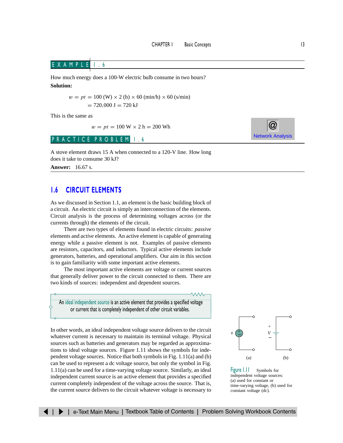## EXAMPLE 1.6

How much energy does a 100-W electric bulb consume in two hours? **Solution:**

$$
w = pt = 100 \text{ (W)} \times 2 \text{ (h)} \times 60 \text{ (min/h)} \times 60 \text{ (s/min)}
$$
  
= 720,000 J = 720 kJ

This is the same as

 $w = pt = 100 \text{ W} \times 2 \text{ h} = 200 \text{ Wh}$ 

#### RACTICE PROBLEM 1.6

A stove element draws 15 A when connected to a 120-V line. How long does it take to consume 30 kJ?

**Answer:** 16.67 s.

## **1.6 CIRCUIT [ELEMENTS](#page-4-0)**

As we discussed in Section 1.1, an element is the basic building block of a circuit. An electric circuit is simply an interconnection of the elements. Circuit analysis is the process of determining voltages across (or the currents through) the elements of the circuit.

There are two types of elements found in electric circuits: *passive* elements and *active* elements. An active element is capable of generating energy while a passive element is not. Examples of passive elements are resistors, capacitors, and inductors. Typical active elements include generators, batteries, and operational amplifiers. Our aim in this section is to gain familiarity with some important active elements.

The most important active elements are voltage or current sources that generally deliver power to the circuit connected to them. There are two kinds of sources: independent and dependent sources.

An ideal independent source is an active element that provides a specified voltage or current that is completely independent of other circuit variables.

In other words, an ideal independent voltage source delivers to the circuit whatever current is necessary to maintain its terminal voltage. Physical sources such as batteries and generators may be regarded as approximations to ideal voltage sources. Figure 1.11 shows the symbols for independent voltage sources. Notice that both symbols in Fig. 1.11(a) and (b) can be used to represent a dc voltage source, but only the symbol in Fig. 1.11(a) can be used for a time-varying voltage source. Similarly, an ideal independent current source is an active element that provides a specified current completely independent of the voltage across the source. That is, the current source delivers to the circuit whatever voltage is necessary to



Figure 1.11 Symbols for independent voltage sources: (a) used for constant or time-varying voltage, (b) used for constant voltage (dc).

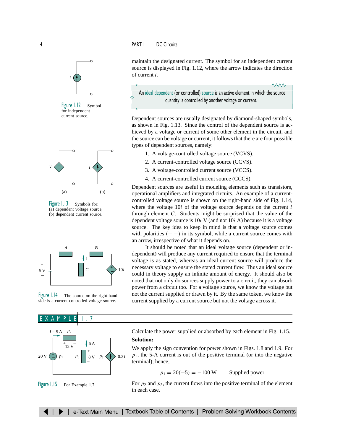







An ideal dependent (or controlled) source is an active element in which the source quantity is controlled by another voltage or current.

Dependent sources are usually designated by diamond-shaped symbols, as shown in Fig. 1.13. Since the control of the dependent source is achieved by a voltage or current of some other element in the circuit, and the source can be voltage or current, it follows that there are four possible types of dependent sources, namely:

- 1. A voltage-controlled voltage source (VCVS).
- 2. A current-controlled voltage source (CCVS).
- 3. A voltage-controlled current source (VCCS).
- 4. A current-controlled current source (CCCS).

Dependent sources are useful in modeling elements such as transistors, operational amplifiers and integrated circuits. An example of a currentcontrolled voltage source is shown on the right-hand side of Fig. 1.14, where the voltage 10*i* of the voltage source depends on the current *i* through element *C*. Students might be surprised that the value of the dependent voltage source is 10*i* V (and not 10*i* A) because it is a voltage source. The key idea to keep in mind is that a voltage source comes with polarities  $(+)$  in its symbol, while a current source comes with an arrow, irrespective of what it depends on.

It should be noted that an ideal voltage source (dependent or independent) will produce any current required to ensure that the terminal voltage is as stated, whereas an ideal current source will produce the necessary voltage to ensure the stated current flow. Thus an ideal source could in theory supply an infinite amount of energy. It should also be noted that not only do sources supply power to a circuit, they can absorb power from a circuit too. For a voltage source, we know the voltage but not the current supplied or drawn by it. By the same token, we know the current supplied by a current source but not the voltage across it.



Figure 1.15 For Example 1.7.

Calculate the power supplied or absorbed by each element in Fig. 1.15. *p*<sup>2</sup>

## **Solution:**

We apply the sign convention for power shown in Figs. 1.8 and 1.9. For  $p_1$ , the 5-A current is out of the positive terminal (or into the negative terminal); hence,

$$
p_1 = 20(-5) = -100 \text{ W}
$$
 Supplement power

For  $p_2$  and  $p_3$ , the current flows into the positive terminal of the element in each case.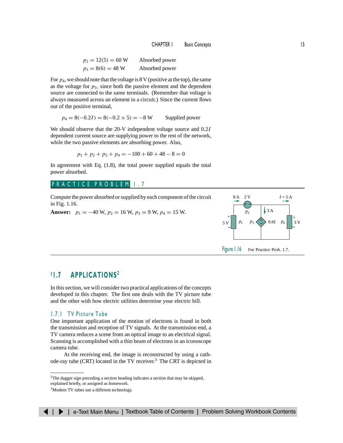| $p_2 = 12(5) = 60$ W | Absorbed power |
|----------------------|----------------|
| $p_3 = 8(6) = 48$ W  | Absorbed power |

For  $p_4$ , we should note that the voltage is  $8 \text{ V}$  (positive at the top), the same as the voltage for  $p_3$ , since both the passive element and the dependent source are connected to the same terminals. (Remember that voltage is always measured across an element in a circuit.) Since the current flows out of the positive terminal,

$$
p_4 = 8(-0.2I) = 8(-0.2 \times 5) = -8
$$
 W Supplement power

We should observe that the 20-V independent voltage source and 0*.*2*I* dependent current source are supplying power to the rest of the network, while the two passive elements are absorbing power. Also,

$$
p_1 + p_2 + p_3 + p_4 = -100 + 60 + 48 - 8 = 0
$$

In agreement with Eq. (1.8), the total power supplied equals the total power absorbed.

## PRACTICE PROBLEM 1.7

Compute the power absorbed or supplied by each component of the circuit in Fig. 1.16.

**Answer:**  $p_1 = -40 \text{ W}, p_2 = 16 \text{ W}, p_3 = 9 \text{ W}, p_4 = 15 \text{ W}.$ 





## *†***1.7 APPLICATIONS<sup>2</sup>**

In this section, we will consider two practical applications of the concepts developed in this chapter. The first one deals with the TV picture tube and the other with how electric utilities determine your electric bill.

## 1.7.1 TV Picture Tube

One important application of the motion of electrons is found in both the transmission and reception of TV signals. At the transmission end, a TV camera reduces a scene from an optical image to an electrical signal. Scanning is accomplished with a thin beam of electrons in an iconoscope camera tube.

At the receiving end, the image is reconstructed by using a cathode-ray tube (CRT) located in the TV receiver.<sup>3</sup> The CRT is depicted in

<sup>&</sup>lt;sup>2</sup>The dagger sign preceding a section heading indicates a section that may be skipped, explained briefly, or assigned as homework.

<sup>&</sup>lt;sup>3</sup>Modern TV tubes use a different technology.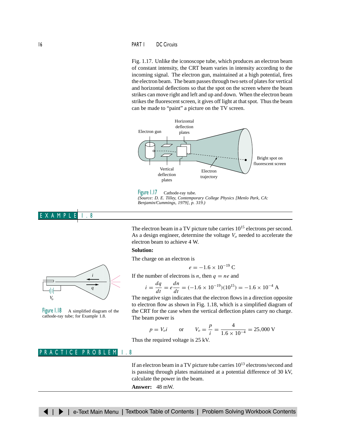#### 16 PART I DUC CIrcuits

Fig. 1.17. Unlike the iconoscope tube, which produces an electron beam of constant intensity, the CRT beam varies in intensity according to the incoming signal. The electron gun, maintained at a high potential, fires the electron beam. The beam passes through two sets of plates for vertical and horizontal deflections so that the spot on the screen where the beam strikes can move right and left and up and down. When the electron beam strikes the fluorescent screen, it gives off light at that spot. Thus the beam can be made to "paint" a picture on the TV screen.



Figure 1.17 Cathode-ray tube. *(Source: D. E. Tilley, Contemporary College Physics [Menlo Park, CA: Benjamin/Cummings, 1979], p. 319.)*

## EXAMPLE 1.8

The electron beam in a TV picture tube carries  $10^{15}$  electrons per second. As a design engineer, determine the voltage  $V<sub>o</sub>$  needed to accelerate the electron beam to achieve 4 W.

#### **Solution:**

The charge on an electron is

$$
e = -1.6 \times 10^{-19} \,\mathrm{C}
$$

If the number of electrons is *n*, then  $q = ne$  and

$$
i = \frac{dq}{dt} = e\frac{dn}{dt} = (-1.6 \times 10^{-19})(10^{15}) = -1.6 \times 10^{-4} \text{ A}
$$

The negative sign indicates that the electron flows in a direction opposite to electron flow as shown in Fig. 1.18, which is a simplified diagram of the CRT for the case when the vertical deflection plates carry no charge. The beam power is

$$
p = V_o i
$$
 or  $V_o = \frac{p}{i} = \frac{4}{1.6 \times 10^{-4}} = 25,000 \text{ V}$ 

Thus the required voltage is 25 kV.

#### PRACTICE PROBLEM 1.8

If an electron beam in a TV picture tube carries  $10^{13}$  electrons/second and is passing through plates maintained at a potential difference of 30 kV, calculate the power in the beam.

**Answer:** 48 mW.



Figure 1.18 A simplified diagram of the cathode-ray tube; for Example 1.8.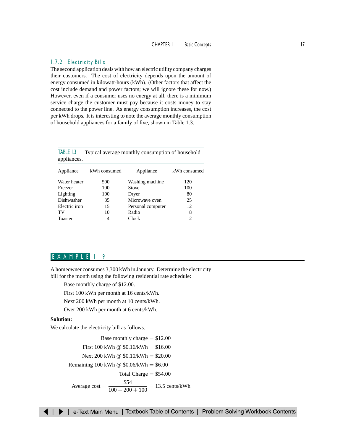## 1.7.2 Electricity Bills

The second application deals with how an electric utility company charges their customers. The cost of electricity depends upon the amount of energy consumed in kilowatt-hours (kWh). (Other factors that affect the cost include demand and power factors; we will ignore these for now.) However, even if a consumer uses no energy at all, there is a minimum service charge the customer must pay because it costs money to stay connected to the power line. As energy consumption increases, the cost per kWh drops. It is interesting to note the average monthly consumption of household appliances for a family of five, shown in Table 1.3.

| TABLE 1.3<br>Typical average monthly consumption of household<br>appliances. |              |                   |              |  |
|------------------------------------------------------------------------------|--------------|-------------------|--------------|--|
| Appliance                                                                    | kWh consumed | Appliance         | kWh consumed |  |
| Water heater                                                                 | 500          | Washing machine.  | 120          |  |
| Freezer                                                                      | 100          | Stove             | 100          |  |
| Lighting                                                                     | 100          | Dryer             | 80           |  |
| Dishwasher                                                                   | 35           | Microwave oven    | 25           |  |
| Electric iron                                                                | 15           | Personal computer | 12           |  |
| TV                                                                           | 10           | Radio             | 8            |  |
| Toaster                                                                      | 4            | Clock             | 2            |  |

|  | EXAMPLE 1.9 |  |  |  |  |
|--|-------------|--|--|--|--|
|--|-------------|--|--|--|--|

A homeowner consumes 3,300 kWh in January. Determine the electricity bill for the month using the following residential rate schedule:

Base monthly charge of \$12.00.

First 100 kWh per month at 16 cents/kWh.

Next 200 kWh per month at 10 cents/kWh.

Over 200 kWh per month at 6 cents/kWh.

#### **Solution:**

We calculate the electricity bill as follows.

Base monthly charge = \$12.00

\nFirst 100 kWh @ \$0.16/kWh = \$16.00

\nNext 200 kWh @ \$0.10/kWh = \$20.00

\nRemaining 100 kWh @ \$0.06/kWh = \$6.00

\nTotal Charge = \$54.00

\nAverage cost = 
$$
\frac{$54}{$100 + 200 + 100} = 13.5 \text{ cents/kWh}
$$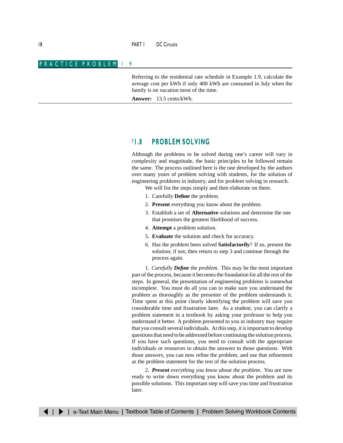#### PRACTICE PROBLEM 1.9

Referring to the residential rate schedule in Example 1.9, calculate the average cost per kWh if only 400 kWh are consumed in July when the family is on vacation most of the time.

**Answer:** 13.5 cents/kWh.

## *†***1.8 PROBLEM SOLVING**

Although the problems to be solved during one's career will vary in complexity and magnitude, the basic principles to be followed remain the same. The process outlined here is the one developed by the authors over many years of problem solving with students, for the solution of engineering problems in industry, and for problem solving in research.

We will list the steps simply and then elaborate on them.

- 1. Carefully **Define** the problem.
- 2. **Present** everything you know about the problem.
- 3. Establish a set of **Alternative** solutions and determine the one that promises the greatest likelihood of success.
- 4. **Attempt** a problem solution.
- 5. **Evaluate** the solution and check for accuracy.
- 6. Has the problem been solved **Satisfactorily**? If so, present the solution; if not, then return to step 3 and continue through the process again.

1. *Carefully Define the problem*. This may be the most important part of the process, because it becomes the foundation for all the rest of the steps. In general, the presentation of engineering problems is somewhat incomplete. You must do all you can to make sure you understand the problem as thoroughly as the presenter of the problem understands it. Time spent at this point clearly identifying the problem will save you considerable time and frustration later. As a student, you can clarify a problem statement in a textbook by asking your professor to help you understand it better. A problem presented to you in industry may require that you consult several individuals. At this step, it is important to develop questions that need to be addressed before continuing the solution process. If you have such questions, you need to consult with the appropriate individuals or resources to obtain the answers to those questions. With those answers, you can now refine the problem, and use that refinement as the problem statement for the rest of the solution process.

2. *Present everything you know about the problem*. You are now ready to write down everything you know about the problem and its possible solutions. This important step will save you time and frustration later.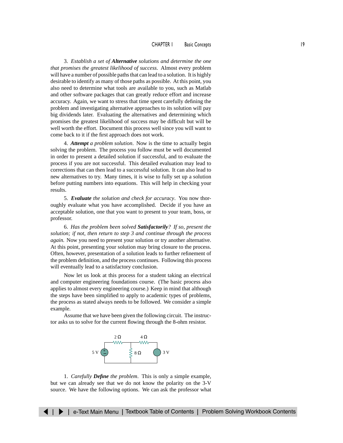3. *Establish a set of Alternative solutions and determine the one that promises the greatest likelihood of success*. Almost every problem will have a number of possible paths that can lead to a solution. It is highly desirable to identify as many of those paths as possible. At this point, you also need to determine what tools are available to you, such as Matlab and other software packages that can greatly reduce effort and increase accuracy. Again, we want to stress that time spent carefully defining the problem and investigating alternative approaches to its solution will pay big dividends later. Evaluating the alternatives and determining which promises the greatest likelihood of success may be difficult but will be well worth the effort. Document this process well since you will want to come back to it if the first approach does not work.

4. *Attempt a problem solution*. Now is the time to actually begin solving the problem. The process you follow must be well documented in order to present a detailed solution if successful, and to evaluate the process if you are not successful. This detailed evaluation may lead to corrections that can then lead to a successful solution. It can also lead to new alternatives to try. Many times, it is wise to fully set up a solution before putting numbers into equations. This will help in checking your results.

5. *Evaluate the solution and check for accuracy*. You now thoroughly evaluate what you have accomplished. Decide if you have an acceptable solution, one that you want to present to your team, boss, or professor.

6. *Has the problem been solved Satisfactorily? If so, present the solution; if not, then return to step 3 and continue through the process again.* Now you need to present your solution or try another alternative. At this point, presenting your solution may bring closure to the process. Often, however, presentation of a solution leads to further refinement of the problem definition, and the process continues. Following this process will eventually lead to a satisfactory conclusion.

Now let us look at this process for a student taking an electrical and computer engineering foundations course. (The basic process also applies to almost every engineering course.) Keep in mind that although the steps have been simplified to apply to academic types of problems, the process as stated always needs to be followed. We consider a simple example.

Assume that we have been given the following circuit. The instructor asks us to solve for the current flowing through the 8-ohm resistor.



1. *Carefully Define the problem*. This is only a simple example, but we can already see that we do not know the polarity on the 3-V source. We have the following options. We can ask the professor what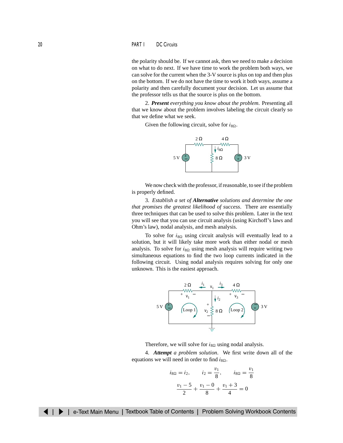#### 20 PART 1 DC Circuits

the polarity should be. If we cannot ask, then we need to make a decision on what to do next. If we have time to work the problem both ways, we can solve for the current when the 3-V source is plus on top and then plus on the bottom. If we do not have the time to work it both ways, assume a polarity and then carefully document your decision. Let us assume that the professor tells us that the source is plus on the bottom.

2. *Present everything you know about the problem*. Presenting all that we know about the problem involves labeling the circuit clearly so that we define what we seek.

Given the following circuit, solve for  $i_{8\Omega}$ .



We now check with the professor, if reasonable, to see if the problem is properly defined.

3. *Establish a set of Alternative solutions and determine the one that promises the greatest likelihood of success*. There are essentially three techniques that can be used to solve this problem. Later in the text you will see that you can use circuit analysis (using Kirchoff's laws and Ohm's law), nodal analysis, and mesh analysis.

To solve for  $i_{8\Omega}$  using circuit analysis will eventually lead to a solution, but it will likely take more work than either nodal or mesh analysis. To solve for  $i_{8\Omega}$  using mesh analysis will require writing two simultaneous equations to find the two loop currents indicated in the following circuit. Using nodal analysis requires solving for only one unknown. This is the easiest approach.



Therefore, we will solve for  $i_{8\Omega}$  using nodal analysis.

4. *Attempt a problem solution*. We first write down all of the equations we will need in order to find  $i_{8\Omega}$ .

$$
i_{8\Omega} = i_2,
$$
  $i_2 = \frac{v_1}{8},$   $i_{8\Omega} = \frac{v_1}{8}$   
 $\frac{v_1 - 5}{2} + \frac{v_1 - 0}{8} + \frac{v_1 + 3}{4} = 0$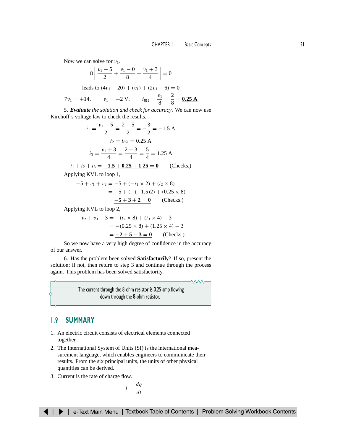Now we can solve for  $v_1$ .

$$
8\left[\frac{v_1 - 5}{2} + \frac{v_1 - 0}{8} + \frac{v_1 + 3}{4}\right] = 0
$$

leads to  $(4v_1 - 20) + (v_1) + (2v_1 + 6) = 0$ 

$$
7v_1 = +14
$$
,  $v_1 = +2$  V,  $i_{8\Omega} = \frac{v_1}{8} = \frac{2}{8} = \frac{0.25 \text{ A}}{}$ 

5. *Evaluate the solution and check for accuracy*. We can now use Kirchoff's voltage law to check the results.

$$
i_1 = \frac{v_1 - 5}{2} = \frac{2 - 5}{2} = -\frac{3}{2} = -1.5 \text{ A}
$$
  
\n
$$
i_2 = i_{8\Omega} = 0.25 \text{ A}
$$
  
\n
$$
i_3 = \frac{v_1 + 3}{4} = \frac{2 + 3}{4} = \frac{5}{4} = 1.25 \text{ A}
$$
  
\n
$$
i_1 + i_2 + i_3 = -1.5 + 0.25 + 1.25 = 0 \text{ (Checks.)}
$$
  
\nApplying KVL to loop 1,  
\n
$$
-5 + v_1 + v_2 = -5 + (-i_1 \times 2) + (i_2 \times 8) \text{ (see S. 2)}
$$

$$
= -5 + (-(-1.5)2) + (0.25 \times 8)
$$

$$
= -5 + 3 + 2 = 0
$$
 (Checks.)

Applying KVL to loop 2,

$$
-v_2 + v_3 - 3 = -(i_2 \times 8) + (i_3 \times 4) - 3
$$
  
= -(0.25 × 8) + (1.25 × 4) - 3  
= -2 + 5 - 3 = 0 (Checks.)

So we now have a very high degree of confidence in the accuracy of our answer.

6. Has the problem been solved **Satisfactorily**? If so, present the solution; if not, then return to step 3 and continue through the process again. This problem has been solved satisfactorily.

> **WW** The current through the 8-ohm resistor is 0.25 amp flowing down through the 8-ohm resistor.

## **1.9 SUMMARY**

- 1. An electric circuit consists of electrical elements connected together.
- 2. The International System of Units (SI) is the international measurement language, which enables engineers to communicate their results. From the six principal units, the units of other physical quantities can be derived.
- 3. Current is the rate of charge flow.

$$
i = \frac{dq}{dt}
$$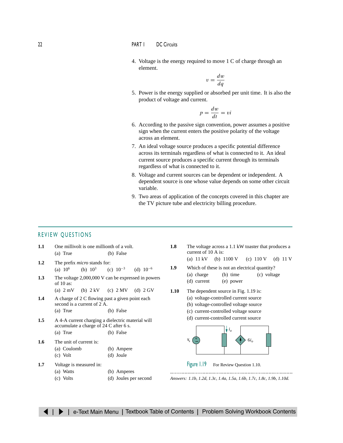4. Voltage is the energy required to move 1 C of charge through an element.

$$
v=\frac{dw}{dq}
$$

5. Power is the energy supplied or absorbed per unit time. It is also the product of voltage and current.

$$
p = \frac{dw}{dt} = vi
$$

- 6. According to the passive sign convention, power assumes a positive sign when the current enters the positive polarity of the voltage across an element.
- 7. An ideal voltage source produces a specific potential difference across its terminals regardless of what is connected to it. An ideal current source produces a specific current through its terminals regardless of what is connected to it.
- 8. Voltage and current sources can be dependent or independent. A dependent source is one whose value depends on some other circuit variable.
- 9. Two areas of application of the concepts covered in this chapter are the TV picture tube and electricity billing procedure.

#### REVIEW QUESTIONS

- **1.1** One millivolt is one millionth of a volt. (a) True (b) False
- **1.2** The prefix *micro* stands for: (a)  $10^6$  (b)  $10^3$  (c)  $10^{-3}$  (d)  $10^{-6}$
- **1.3** The voltage 2,000,000 V can be expressed in powers of 10 as:
	- (a)  $2 \text{ mV}$  (b)  $2 \text{ kV}$  (c)  $2 \text{ MV}$  (d)  $2 \text{ GV}$
- **1.4** A charge of 2 C flowing past a given point each second is a current of 2 A. (a) True (b) False
- **1.5** A 4-A current charging a dielectric material will accumulate a charge of 24 C after 6 s. (a) True (b) False
- **1.6** The unit of current is: (a) Coulomb (b) Ampere (c) Volt (d) Joule
- **1.7** Voltage is measured in:
	- (a) Watts (b) Amperes
	- (c) Volts (d) Joules per second
- **1.8** The voltage across a 1.1 kW toaster that produces a current of 10 A is:
	- (a) 11 kV (b) 1100 V (c) 110 V (d) 11 V
- **1.9** Which of these is not an electrical quantity?
	- (a) charge (b) time (c) voltage
	- (d) current (e) power
- **1.10** The dependent source in Fig. 1.19 is:
	- (a) voltage-controlled current source
		- (b) voltage-controlled voltage source
		- (c) current-controlled voltage source
		- (d) current-controlled current source



Figure 1.19 For Review Question 1.10.

*Answers: 1.1b, 1.2d, 1.3c, 1.4a, 1.5a, 1.6b, 1.7c, 1.8c, 1.9b, 1.10d.*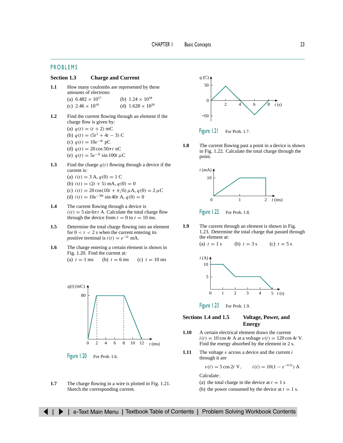## PROBLEMS

## **Section 1.3 Charge and Current** 1.1 How many coulombs are represented by these amounts of electrons: (a)  $6.482 \times 10^{17}$  (b)  $1.24 \times 10^{18}$ <br>(c)  $2.46 \times 10^{19}$  (d)  $1.628 \times 10^{2}$ (d)  $1.628 \times 10^{20}$

- **1.2** Find the current flowing through an element if the charge flow is given by:
	- (a)  $q(t) = (t + 2)$  mC
	- (b)  $q(t) = (5t^2 + 4t 3)$  C
	- (c)  $q(t) = 10e^{-4t}$  pC
	- (d)  $q(t) = 20 \cos 50 \pi t$  nC
	- (e) *q(t)* = 5*e*−2*<sup>t</sup>* sin 100*t µ*C
- **1.3** Find the charge  $q(t)$  flowing through a device if the current is:
	- (a)  $i(t) = 3$  A,  $q(0) = 1$  C (b)  $i(t) = (2t + 5)$  mA,  $q(0) = 0$ (c) *i(t)* = 20 cos*(*10*t* + *π/*6*) µ*A, *q(*0*)* = 2*µ*C (d)  $i(t) = 10e^{-30t} \sin 40t$  A,  $q(0) = 0$
- **1.4** The current flowing through a device is  $i(t) = 5 \sin 6\pi t$  A. Calculate the total charge flow through the device from  $t = 0$  to  $t = 10$  ms.
- **1.5** Determine the total charge flowing into an element for  $0 < t < 2$  s when the current entering its positive terminal is  $i(t) = e^{-2t}$  mA.
- **1.6** The charge entering a certain element is shown in Fig. 1.20. Find the current at: (a)  $t = 1$  ms (b)  $t = 6$  ms (c)  $t = 10$  ms





**1.7** The charge flowing in a wire is plotted in Fig. 1.21. Sketch the corresponding current.





**1.8** The current flowing past a point in a device is shown in Fig. 1.22. Calculate the total charge through the point.





**1.9** The current through an element is shown in Fig. 1.23. Determine the total charge that passed through the element at:

(a)  $t = 1$  s (b)  $t = 3$  s (c)  $t = 5$  s





### **Sections 1.4 and 1.5 Voltage, Power, and Energy**

- **1.10** A certain electrical element draws the current  $i(t) = 10 \cos 4t$  A at a voltage  $v(t) = 120 \cos 4t$  V. Find the energy absorbed by the element in 2 s.
- **1.11** The voltage *v* across a device and the current *i* through it are

$$
v(t) = 5 \cos 2t \text{ V}, \qquad i(t) = 10(1 - e^{-0.5t}) \text{ A}
$$

Calculate:

- (a) the total charge in the device at  $t = 1$  s
- (b) the power consumed by the device at  $t = 1$  s.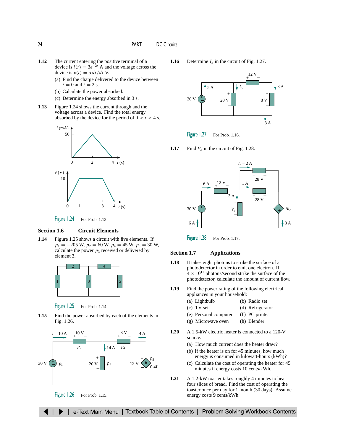- **1.12** The current entering the positive terminal of a device is  $i(t) = 3e^{-2t}$  A and the voltage across the device is  $v(t) = 5 \frac{di}{dt}$  V.
	- (a) Find the charge delivered to the device between  $t = 0$  and  $t = 2$  s.
	- (b) Calculate the power absorbed.
	- (c) Determine the energy absorbed in 3 s.
- **1.13** Figure 1.24 shows the current through and the voltage across a device. Find the total energy absorbed by the device for the period of  $0 < t < 4$  s.



Figure 1.24 For Prob. 1.13.

#### **Section 1.6 Circuit Elements**

**1.14** Figure 1.25 shows a circuit with five elements. If  $p_1 = -205$  W,  $p_2 = 60$  W,  $p_4 = 45$  W,  $p_5 = 30$  W, calculate the power  $p_3$  received or delivered by element 3.



Figure 1.25 For Prob. 1.14.

**1.15** Find the power absorbed by each of the elements in Fig. 1.26.



Figure 1.26 For Prob. 1.15.

**1.16** Determine  $I_0$  in the circuit of Fig. 1.27.





**1.17** Find  $V<sub>o</sub>$  in the circuit of Fig. 1.28.



Figure 1.28 For Prob. 1.17.

#### **Section 1.7 Applications**

- **1.18** It takes eight photons to strike the surface of a photodetector in order to emit one electron. If  $4 \times 10^{11}$  photons/second strike the surface of the photodetector, calculate the amount of current flow.
- **1.19** Find the power rating of the following electrical appliances in your household:
	- (a) Lightbulb (b) Radio set
	- (c) TV set (d) Refrigerator
	- (e) Personal computer (f) PC printer
	- (g) Microwave oven (h) Blender
- **1.20** A 1.5-kW electric heater is connected to a 120-V source.
	- (a) How much current does the heater draw?
	- (b) If the heater is on for 45 minutes, how much energy is consumed in kilowatt-hours (kWh)?
	- (c) Calculate the cost of operating the heater for 45 minutes if energy costs 10 cents/kWh.
- **1.21** A 1.2-kW toaster takes roughly 4 minutes to heat four slices of bread. Find the cost of operating the toaster once per day for 1 month (30 days). Assume energy costs 9 cents/kWh.